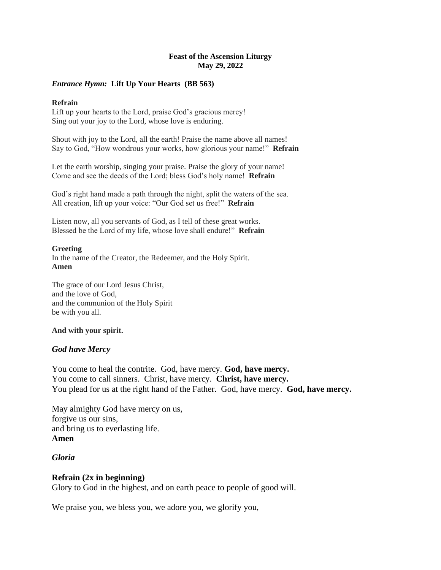### **Feast of the Ascension Liturgy May 29, 2022**

### *Entrance Hymn:* **Lift Up Your Hearts (BB 563)**

### **Refrain**

Lift up your hearts to the Lord, praise God's gracious mercy! Sing out your joy to the Lord, whose love is enduring.

Shout with joy to the Lord, all the earth! Praise the name above all names! Say to God, "How wondrous your works, how glorious your name!" **Refrain**

Let the earth worship, singing your praise. Praise the glory of your name! Come and see the deeds of the Lord; bless God's holy name! **Refrain**

God's right hand made a path through the night, split the waters of the sea. All creation, lift up your voice: "Our God set us free!" **Refrain**

Listen now, all you servants of God, as I tell of these great works. Blessed be the Lord of my life, whose love shall endure!" **Refrain**

### **Greeting**

In the name of the Creator, the Redeemer, and the Holy Spirit. **Amen**

The grace of our Lord Jesus Christ, and the love of God, and the communion of the Holy Spirit be with you all.

### **And with your spirit.**

### *God have Mercy*

You come to heal the contrite. God, have mercy. **God, have mercy.** You come to call sinners. Christ, have mercy. **Christ, have mercy.** You plead for us at the right hand of the Father. God, have mercy. **God, have mercy.**

May almighty God have mercy on us, forgive us our sins, and bring us to everlasting life. **Amen**

## *Gloria*

### **Refrain (2x in beginning)**

Glory to God in the highest, and on earth peace to people of good will.

We praise you, we bless you, we adore you, we glorify you,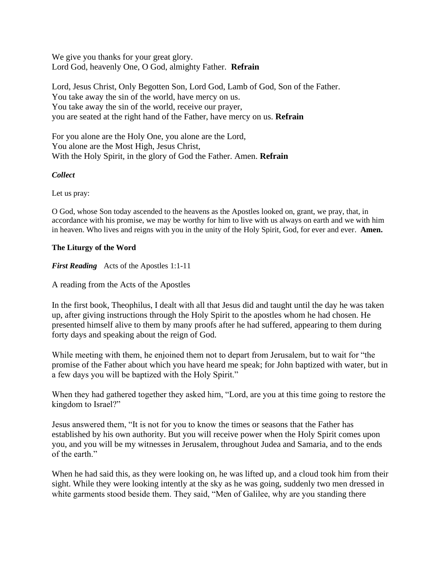We give you thanks for your great glory. Lord God, heavenly One, O God, almighty Father. **Refrain**

Lord, Jesus Christ, Only Begotten Son, Lord God, Lamb of God, Son of the Father. You take away the sin of the world, have mercy on us. You take away the sin of the world, receive our prayer, you are seated at the right hand of the Father, have mercy on us. **Refrain**

For you alone are the Holy One, you alone are the Lord, You alone are the Most High, Jesus Christ, With the Holy Spirit, in the glory of God the Father. Amen. **Refrain**

## *Collect*

Let us pray:

O God, whose Son today ascended to the heavens as the Apostles looked on, grant, we pray, that, in accordance with his promise, we may be worthy for him to live with us always on earth and we with him in heaven. Who lives and reigns with you in the unity of the Holy Spirit, God, for ever and ever. **Amen.**

## **The Liturgy of the Word**

*First Reading* Acts of the Apostles 1:1-11

A reading from the Acts of the Apostles

In the first book, Theophilus, I dealt with all that Jesus did and taught until the day he was taken up, after giving instructions through the Holy Spirit to the apostles whom he had chosen. He presented himself alive to them by many proofs after he had suffered, appearing to them during forty days and speaking about the reign of God.

While meeting with them, he enjoined them not to depart from Jerusalem, but to wait for "the promise of the Father about which you have heard me speak; for John baptized with water, but in a few days you will be baptized with the Holy Spirit."

When they had gathered together they asked him, "Lord, are you at this time going to restore the kingdom to Israel?"

Jesus answered them, "It is not for you to know the times or seasons that the Father has established by his own authority. But you will receive power when the Holy Spirit comes upon you, and you will be my witnesses in Jerusalem, throughout Judea and Samaria, and to the ends of the earth."

When he had said this, as they were looking on, he was lifted up, and a cloud took him from their sight. While they were looking intently at the sky as he was going, suddenly two men dressed in white garments stood beside them. They said, "Men of Galilee, why are you standing there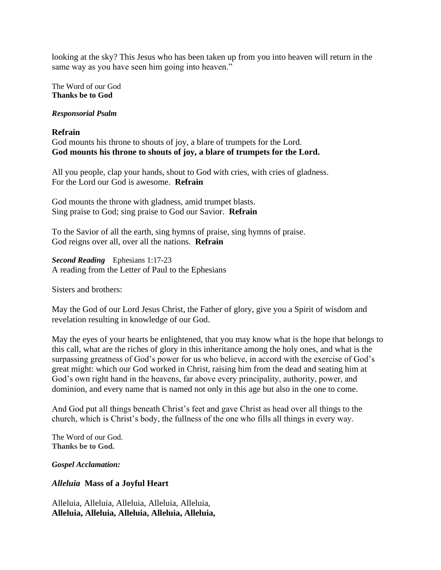looking at the sky? This Jesus who has been taken up from you into heaven will return in the same way as you have seen him going into heaven."

The Word of our God **Thanks be to God**

### *Responsorial Psalm*

### **Refrain**

God mounts his throne to shouts of joy, a blare of trumpets for the Lord. **God mounts his throne to shouts of joy, a blare of trumpets for the Lord.**

All you people, clap your hands, shout to God with cries, with cries of gladness. For the Lord our God is awesome. **Refrain**

God mounts the throne with gladness, amid trumpet blasts. Sing praise to God; sing praise to God our Savior. **Refrain**

To the Savior of all the earth, sing hymns of praise, sing hymns of praise. God reigns over all, over all the nations. **Refrain**

*Second Reading* Ephesians 1:17-23 A reading from the Letter of Paul to the Ephesians

Sisters and brothers:

May the God of our Lord Jesus Christ, the Father of glory, give you a Spirit of wisdom and revelation resulting in knowledge of our God.

May the eyes of your hearts be enlightened, that you may know what is the hope that belongs to this call, what are the riches of glory in this inheritance among the holy ones, and what is the surpassing greatness of God's power for us who believe, in accord with the exercise of God's great might: which our God worked in Christ, raising him from the dead and seating him at God's own right hand in the heavens, far above every principality, authority, power, and dominion, and every name that is named not only in this age but also in the one to come.

And God put all things beneath Christ's feet and gave Christ as head over all things to the church, which is Christ's body, the fullness of the one who fills all things in every way.

The Word of our God. **Thanks be to God.**

*Gospel Acclamation:*

## *Alleluia* **Mass of a Joyful Heart**

Alleluia, Alleluia, Alleluia, Alleluia, Alleluia, **Alleluia, Alleluia, Alleluia, Alleluia, Alleluia,**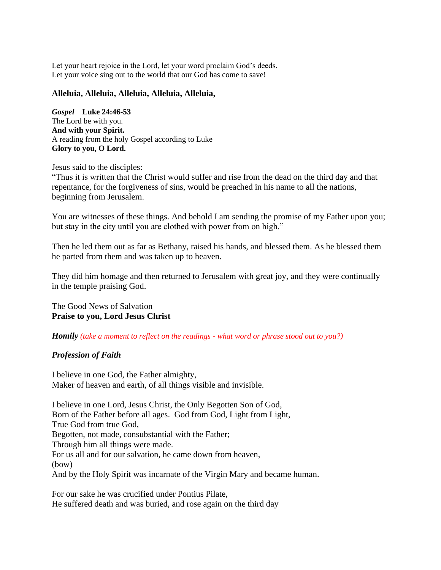Let your heart rejoice in the Lord, let your word proclaim God's deeds. Let your voice sing out to the world that our God has come to save!

### **Alleluia, Alleluia, Alleluia, Alleluia, Alleluia,**

*Gospel* **Luke 24:46-53** The Lord be with you. **And with your Spirit.** A reading from the holy Gospel according to Luke **Glory to you, O Lord.**

Jesus said to the disciples:

"Thus it is written that the Christ would suffer and rise from the dead on the third day and that repentance, for the forgiveness of sins, would be preached in his name to all the nations, beginning from Jerusalem.

You are witnesses of these things. And behold I am sending the promise of my Father upon you; but stay in the city until you are clothed with power from on high."

Then he led them out as far as Bethany, raised his hands, and blessed them. As he blessed them he parted from them and was taken up to heaven.

They did him homage and then returned to Jerusalem with great joy, and they were continually in the temple praising God.

The Good News of Salvation **Praise to you, Lord Jesus Christ**

*Homily (take a moment to reflect on the readings - what word or phrase stood out to you?)*

#### *Profession of Faith*

I believe in one God, the Father almighty, Maker of heaven and earth, of all things visible and invisible.

I believe in one Lord, Jesus Christ, the Only Begotten Son of God, Born of the Father before all ages. God from God, Light from Light, True God from true God, Begotten, not made, consubstantial with the Father; Through him all things were made. For us all and for our salvation, he came down from heaven, (bow) And by the Holy Spirit was incarnate of the Virgin Mary and became human.

For our sake he was crucified under Pontius Pilate, He suffered death and was buried, and rose again on the third day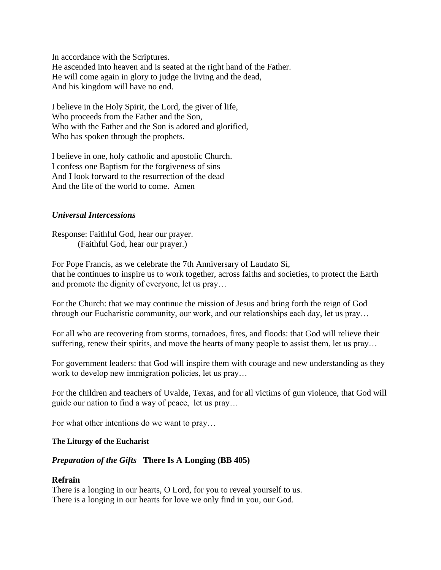In accordance with the Scriptures. He ascended into heaven and is seated at the right hand of the Father. He will come again in glory to judge the living and the dead, And his kingdom will have no end.

I believe in the Holy Spirit, the Lord, the giver of life, Who proceeds from the Father and the Son, Who with the Father and the Son is adored and glorified, Who has spoken through the prophets.

I believe in one, holy catholic and apostolic Church. I confess one Baptism for the forgiveness of sins And I look forward to the resurrection of the dead And the life of the world to come. Amen

# *Universal Intercessions*

Response: Faithful God, hear our prayer. (Faithful God, hear our prayer.)

For Pope Francis, as we celebrate the 7th Anniversary of Laudato Sì, that he continues to inspire us to work together, across faiths and societies, to protect the Earth and promote the dignity of everyone, let us pray…

For the Church: that we may continue the mission of Jesus and bring forth the reign of God through our Eucharistic community, our work, and our relationships each day, let us pray…

For all who are recovering from storms, tornadoes, fires, and floods: that God will relieve their suffering, renew their spirits, and move the hearts of many people to assist them, let us pray…

For government leaders: that God will inspire them with courage and new understanding as they work to develop new immigration policies, let us pray...

For the children and teachers of Uvalde, Texas, and for all victims of gun violence, that God will guide our nation to find a way of peace, let us pray…

For what other intentions do we want to pray…

## **The Liturgy of the Eucharist**

## *Preparation of the Gifts* **There Is A Longing (BB 405)**

## **Refrain**

There is a longing in our hearts, O Lord, for you to reveal yourself to us. There is a longing in our hearts for love we only find in you, our God.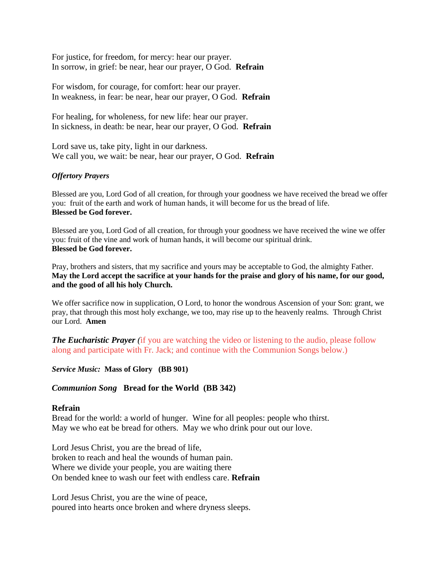For justice, for freedom, for mercy: hear our prayer. In sorrow, in grief: be near, hear our prayer, O God. **Refrain**

For wisdom, for courage, for comfort: hear our prayer. In weakness, in fear: be near, hear our prayer, O God. **Refrain**

For healing, for wholeness, for new life: hear our prayer. In sickness, in death: be near, hear our prayer, O God. **Refrain**

Lord save us, take pity, light in our darkness. We call you, we wait: be near, hear our prayer, O God. **Refrain**

## *Offertory Prayers*

Blessed are you, Lord God of all creation, for through your goodness we have received the bread we offer you: fruit of the earth and work of human hands, it will become for us the bread of life. **Blessed be God forever.**

Blessed are you, Lord God of all creation, for through your goodness we have received the wine we offer you: fruit of the vine and work of human hands, it will become our spiritual drink. **Blessed be God forever.**

Pray, brothers and sisters, that my sacrifice and yours may be acceptable to God, the almighty Father. **May the Lord accept the sacrifice at your hands for the praise and glory of his name, for our good, and the good of all his holy Church.**

We offer sacrifice now in supplication, O Lord, to honor the wondrous Ascension of your Son: grant, we pray, that through this most holy exchange, we too, may rise up to the heavenly realms. Through Christ our Lord. **Amen**

*The Eucharistic Prayer* (if you are watching the video or listening to the audio, please follow along and participate with Fr. Jack; and continue with the Communion Songs below.)

*Service Music:* **Mass of Glory (BB 901)**

## *Communion Song* **Bread for the World (BB 342)**

## **Refrain**

Bread for the world: a world of hunger. Wine for all peoples: people who thirst. May we who eat be bread for others. May we who drink pour out our love.

Lord Jesus Christ, you are the bread of life, broken to reach and heal the wounds of human pain. Where we divide your people, you are waiting there On bended knee to wash our feet with endless care. **Refrain**

Lord Jesus Christ, you are the wine of peace, poured into hearts once broken and where dryness sleeps.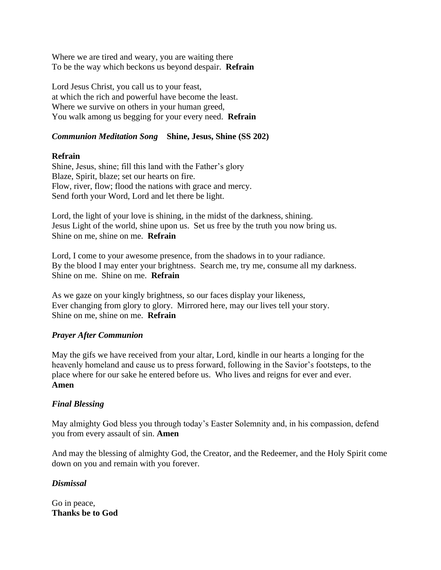Where we are tired and weary, you are waiting there To be the way which beckons us beyond despair. **Refrain**

Lord Jesus Christ, you call us to your feast, at which the rich and powerful have become the least. Where we survive on others in your human greed, You walk among us begging for your every need. **Refrain**

# *Communion Meditation Song* **Shine, Jesus, Shine (SS 202)**

## **Refrain**

Shine, Jesus, shine; fill this land with the Father's glory Blaze, Spirit, blaze; set our hearts on fire. Flow, river, flow; flood the nations with grace and mercy. Send forth your Word, Lord and let there be light.

Lord, the light of your love is shining, in the midst of the darkness, shining. Jesus Light of the world, shine upon us. Set us free by the truth you now bring us. Shine on me, shine on me. **Refrain**

Lord, I come to your awesome presence, from the shadows in to your radiance. By the blood I may enter your brightness. Search me, try me, consume all my darkness. Shine on me. Shine on me. **Refrain**

As we gaze on your kingly brightness, so our faces display your likeness, Ever changing from glory to glory. Mirrored here, may our lives tell your story. Shine on me, shine on me. **Refrain**

## *Prayer After Communion*

May the gifs we have received from your altar, Lord, kindle in our hearts a longing for the heavenly homeland and cause us to press forward, following in the Savior's footsteps, to the place where for our sake he entered before us. Who lives and reigns for ever and ever. **Amen**

## *Final Blessing*

May almighty God bless you through today's Easter Solemnity and, in his compassion, defend you from every assault of sin. **Amen**

And may the blessing of almighty God, the Creator, and the Redeemer, and the Holy Spirit come down on you and remain with you forever.

## *Dismissal*

Go in peace, **Thanks be to God**